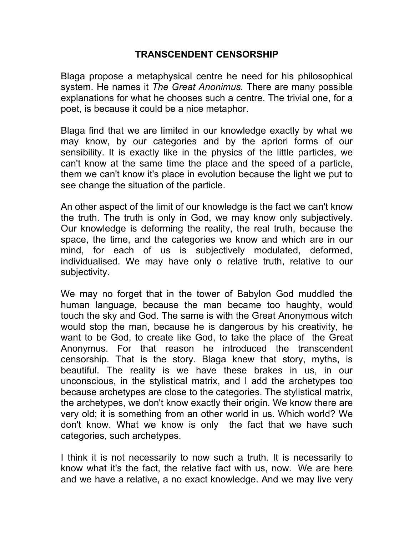## **TRANSCENDENT CENSORSHIP**

Blaga propose a metaphysical centre he need for his philosophical system. He names it *The Great Anonimus.* There are many possible explanations for what he chooses such a centre. The trivial one, for a poet, is because it could be a nice metaphor.

Blaga find that we are limited in our knowledge exactly by what we may know, by our categories and by the apriori forms of our sensibility. It is exactly like in the physics of the little particles, we can't know at the same time the place and the speed of a particle, them we can't know it's place in evolution because the light we put to see change the situation of the particle.

An other aspect of the limit of our knowledge is the fact we can't know the truth. The truth is only in God, we may know only subjectively. Our knowledge is deforming the reality, the real truth, because the space, the time, and the categories we know and which are in our mind, for each of us is subjectively modulated, deformed, individualised. We may have only o relative truth, relative to our subjectivity.

We may no forget that in the tower of Babylon God muddled the human language, because the man became too haughty, would touch the sky and God. The same is with the Great Anonymous witch would stop the man, because he is dangerous by his creativity, he want to be God, to create like God, to take the place of the Great Anonymus. For that reason he introduced the transcendent censorship. That is the story. Blaga knew that story, myths, is beautiful. The reality is we have these brakes in us, in our unconscious, in the stylistical matrix, and I add the archetypes too because archetypes are close to the categories. The stylistical matrix, the archetypes, we don't know exactly their origin. We know there are very old; it is something from an other world in us. Which world? We don't know. What we know is only the fact that we have such categories, such archetypes.

I think it is not necessarily to now such a truth. It is necessarily to know what it's the fact, the relative fact with us, now. We are here and we have a relative, a no exact knowledge. And we may live very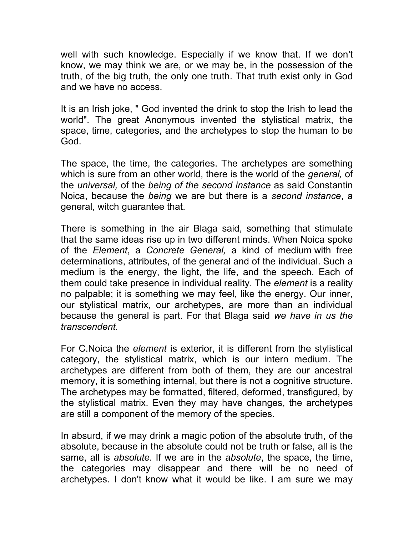well with such knowledge. Especially if we know that. If we don't know, we may think we are, or we may be, in the possession of the truth, of the big truth, the only one truth. That truth exist only in God and we have no access.

It is an Irish joke, " God invented the drink to stop the Irish to lead the world". The great Anonymous invented the stylistical matrix, the space, time, categories, and the archetypes to stop the human to be God.

The space, the time, the categories. The archetypes are something which is sure from an other world, there is the world of the *general,* of the *universal,* of the *being of the second instance* as said Constantin Noica, because the *being* we are but there is a *second instance*, a general, witch guarantee that.

There is something in the air Blaga said, something that stimulate that the same ideas rise up in two different minds. When Noica spoke of the *Element*, a *Concrete General,* a kind of medium with free determinations, attributes, of the general and of the individual. Such a medium is the energy, the light, the life, and the speech. Each of them could take presence in individual reality. The *element* is a reality no palpable; it is something we may feel, like the energy. Our inner, our stylistical matrix, our archetypes, are more than an individual because the general is part. For that Blaga said *we have in us the transcendent.* 

For C.Noica the *element* is exterior, it is different from the stylistical category, the stylistical matrix, which is our intern medium. The archetypes are different from both of them, they are our ancestral memory, it is something internal, but there is not a cognitive structure. The archetypes may be formatted, filtered, deformed, transfigured, by the stylistical matrix. Even they may have changes, the archetypes are still a component of the memory of the species.

In absurd, if we may drink a magic potion of the absolute truth, of the absolute, because in the absolute could not be truth or false, all is the same, all is *absolute*. If we are in the *absolute*, the space, the time, the categories may disappear and there will be no need of archetypes. I don't know what it would be like. I am sure we may